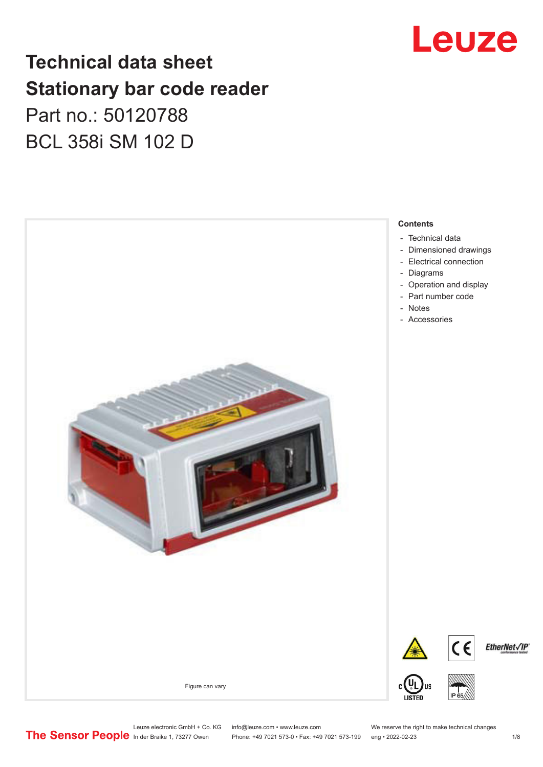## Leuze

## **Technical data sheet Stationary bar code reader** Part no.: 50120788 BCL 358i SM 102 D



Leuze electronic GmbH + Co. KG info@leuze.com • www.leuze.com We reserve the right to make technical changes<br>
The Sensor People in der Braike 1, 73277 Owen Phone: +49 7021 573-0 • Fax: +49 7021 573-199 eng • 2022-02-23 Phone: +49 7021 573-0 • Fax: +49 7021 573-199 eng • 2022-02-23 1 /8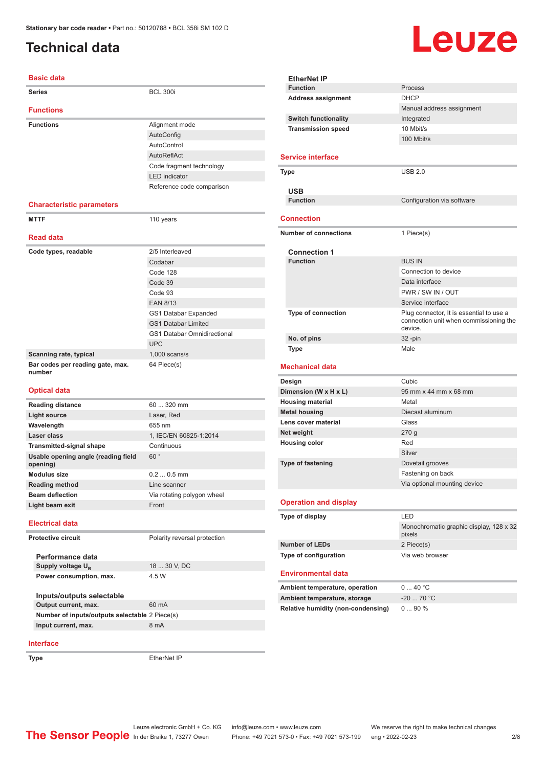#### <span id="page-1-0"></span>**Technical data**

# Leuze

| <b>Basic data</b>                                 |                                    |
|---------------------------------------------------|------------------------------------|
| <b>Series</b>                                     | <b>BCL 300i</b>                    |
| <b>Functions</b>                                  |                                    |
| <b>Functions</b>                                  | Alignment mode                     |
|                                                   | AutoConfig                         |
|                                                   | AutoControl                        |
|                                                   | AutoReflAct                        |
|                                                   | Code fragment technology           |
|                                                   | <b>LED</b> indicator               |
|                                                   | Reference code comparison          |
| <b>Characteristic parameters</b>                  |                                    |
| <b>MTTF</b>                                       | 110 years                          |
|                                                   |                                    |
| <b>Read data</b>                                  |                                    |
| Code types, readable                              | 2/5 Interleaved                    |
|                                                   | Codabar                            |
|                                                   | Code 128                           |
|                                                   | Code 39                            |
|                                                   | Code 93                            |
|                                                   | <b>EAN 8/13</b>                    |
|                                                   | GS1 Databar Expanded               |
|                                                   | <b>GS1 Databar Limited</b>         |
|                                                   | <b>GS1 Databar Omnidirectional</b> |
|                                                   | <b>UPC</b>                         |
| Scanning rate, typical                            | $1,000$ scans/s                    |
| Bar codes per reading gate, max.<br>number        | 64 Piece(s)                        |
| <b>Optical data</b>                               |                                    |
| <b>Reading distance</b>                           | 60  320 mm                         |
| <b>Light source</b>                               | Laser, Red                         |
| Wavelength                                        | 655 nm                             |
| Laser class                                       | 1, IEC/EN 60825-1:2014             |
| <b>Transmitted-signal shape</b>                   | Continuous                         |
| Usable opening angle (reading field<br>opening)   | 60°                                |
| <b>Modulus size</b>                               | $0.20.5$ mm                        |
| <b>Reading method</b>                             | Line scanner                       |
| <b>Beam deflection</b>                            | Via rotating polygon wheel         |
| Light beam exit                                   | Front                              |
| <b>Electrical data</b>                            |                                    |
| Protective circuit                                | Polarity reversal protection       |
|                                                   |                                    |
| Performance data                                  |                                    |
| Supply voltage U <sub>B</sub>                     | 18  30 V, DC                       |
| Power consumption, max.                           | 4.5 W                              |
|                                                   |                                    |
| Inputs/outputs selectable<br>Output current, max. | 60 mA                              |
| Number of inputs/outputs selectable 2 Piece(s)    |                                    |
| Input current, max.                               | 8 mA                               |
|                                                   |                                    |

| <b>EtherNet IP</b>                     |                                                   |
|----------------------------------------|---------------------------------------------------|
| <b>Function</b>                        | Process                                           |
| <b>Address assignment</b>              | <b>DHCP</b>                                       |
|                                        | Manual address assignment                         |
| <b>Switch functionality</b>            | Integrated                                        |
| <b>Transmission speed</b>              | 10 Mbit/s                                         |
|                                        | 100 Mbit/s                                        |
| <b>Service interface</b>               |                                                   |
|                                        |                                                   |
| Type                                   | <b>USB 2.0</b>                                    |
| <b>USB</b>                             |                                                   |
| <b>Function</b>                        | Configuration via software                        |
|                                        |                                                   |
| <b>Connection</b>                      |                                                   |
| <b>Number of connections</b>           | 1 Piece(s)                                        |
|                                        |                                                   |
| <b>Connection 1</b><br><b>Function</b> | <b>BUS IN</b>                                     |
|                                        | Connection to device                              |
|                                        | Data interface                                    |
|                                        | PWR / SW IN / OUT                                 |
|                                        | Service interface                                 |
| Type of connection                     | Plug connector, It is essential to use a          |
|                                        | connection unit when commissioning the<br>device. |
| No. of pins                            | 32-pin                                            |
| <b>Type</b>                            | Male                                              |
| <b>Mechanical data</b>                 |                                                   |
|                                        |                                                   |
| Design                                 | Cubic                                             |
| Dimension (W x H x L)                  | 95 mm x 44 mm x 68 mm                             |
| <b>Housing material</b>                | Metal                                             |
| <b>Metal housing</b>                   | Diecast aluminum                                  |
| Lens cover material                    | Glass                                             |
| Net weight                             | 270 g                                             |
| <b>Housing color</b>                   | Red                                               |
|                                        | Silver                                            |
| <b>Type of fastening</b>               | Dovetail grooves                                  |
|                                        | Fastening on back                                 |
|                                        | Via optional mounting device                      |
| <b>Operation and display</b>           |                                                   |
| Type of display                        | LED                                               |
|                                        | pixels                                            |
| <b>Number of LEDs</b>                  | 2 Piece(s)                                        |
| Type of configuration                  | Via web browser                                   |
| <b>Environmental data</b>              |                                                   |
| Ambient temperature, operation         | 040 °C                                            |
| Ambient temperature, storage           | $-20$ 70 °C                                       |
| Relative humidity (non-condensing)     | Monochromatic graphic display, 128 x 32<br>090%   |

#### **Interface**

**Type** EtherNet IP

Leuze electronic GmbH + Co. KG info@leuze.com • www.leuze.com We reserve the right to make technical changes In der Braike 1, 73277 Owen Phone: +49 7021 573-0 • Fax: +49 7021 573-199 eng • 2022-02-23 2 /8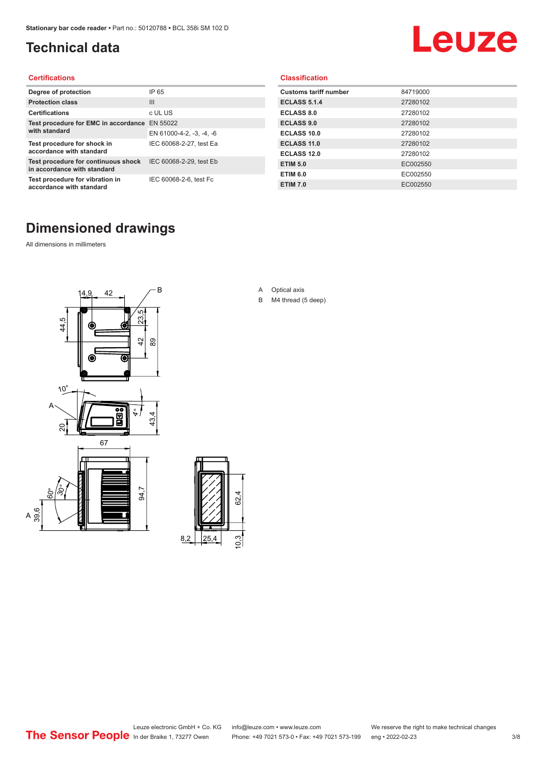#### <span id="page-2-0"></span>**Technical data**

# Leuze

#### **Certifications**

| Degree of protection                                               | IP 65                    |
|--------------------------------------------------------------------|--------------------------|
| <b>Protection class</b>                                            | $\mathbf{III}$           |
| <b>Certifications</b>                                              | c UL US                  |
| Test procedure for EMC in accordance                               | EN 55022                 |
| with standard                                                      | EN 61000-4-2, -3, -4, -6 |
| Test procedure for shock in<br>accordance with standard            | IEC 60068-2-27, test Ea  |
| Test procedure for continuous shock<br>in accordance with standard | IEC 60068-2-29, test Eb  |
| Test procedure for vibration in<br>accordance with standard        | IEC 60068-2-6, test Fc   |

#### **Classification**

| <b>Customs tariff number</b> | 84719000 |
|------------------------------|----------|
| <b>ECLASS 5.1.4</b>          | 27280102 |
| <b>ECLASS 8.0</b>            | 27280102 |
| <b>ECLASS 9.0</b>            | 27280102 |
| ECLASS 10.0                  | 27280102 |
| <b>ECLASS 11.0</b>           | 27280102 |
| ECLASS 12.0                  | 27280102 |
| <b>ETIM 5.0</b>              | EC002550 |
| <b>ETIM 6.0</b>              | EC002550 |
| <b>ETIM 7.0</b>              | EC002550 |

#### **Dimensioned drawings**

All dimensions in millimeters

 $\overline{A}$ 





- A Optical axis
- B M4 thread (5 deep)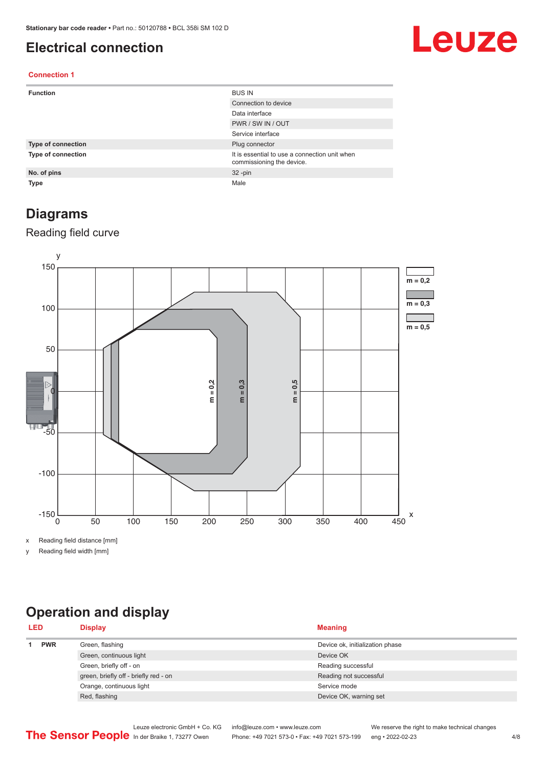#### <span id="page-3-0"></span>**Electrical connection**

## Leuze

#### **Connection 1**

| <b>Function</b>           | <b>BUS IN</b>                                                              |
|---------------------------|----------------------------------------------------------------------------|
|                           | Connection to device                                                       |
|                           | Data interface                                                             |
|                           | PWR / SW IN / OUT                                                          |
|                           | Service interface                                                          |
| <b>Type of connection</b> | Plug connector                                                             |
| <b>Type of connection</b> | It is essential to use a connection unit when<br>commissioning the device. |
| No. of pins               | $32 - pin$                                                                 |
| <b>Type</b>               | Male                                                                       |

#### **Diagrams**

#### Reading field curve



x Reading field distance [mm]

y Reading field width [mm]

## **Operation and display**

| <b>PWR</b><br>Green, flashing<br>Device ok, initialization phase |  |
|------------------------------------------------------------------|--|
|                                                                  |  |
| Green, continuous light<br>Device OK                             |  |
| Green, briefly off - on<br>Reading successful                    |  |
| green, briefly off - briefly red - on<br>Reading not successful  |  |
| Orange, continuous light<br>Service mode                         |  |
| Red, flashing<br>Device OK, warning set                          |  |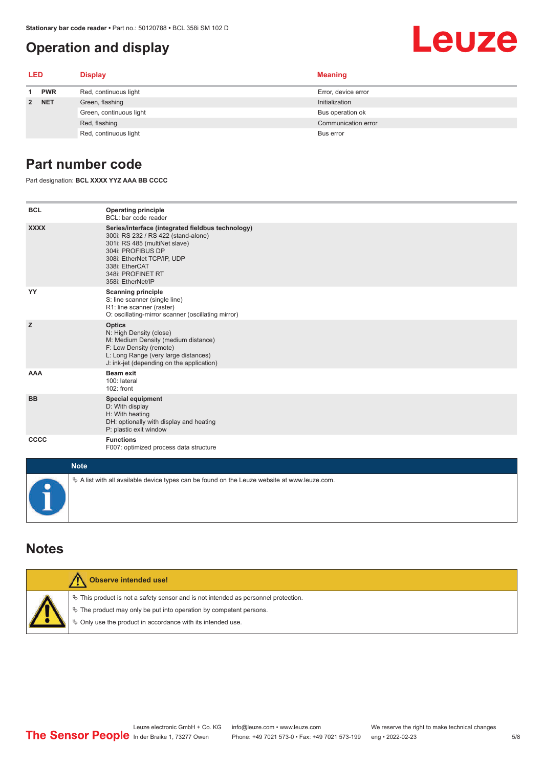#### <span id="page-4-0"></span>**Operation and display**

# Leuze

| <b>LED</b> |                         | <b>Display</b>        | <b>Meaning</b>      |
|------------|-------------------------|-----------------------|---------------------|
| 1          | <b>PWR</b>              | Red, continuous light | Error, device error |
| 2 NET      | Green, flashing         | Initialization        |                     |
|            | Green, continuous light | Bus operation ok      |                     |
|            |                         | Red, flashing         | Communication error |
|            |                         | Red, continuous light | Bus error           |

#### **Part number code**

Part designation: **BCL XXXX YYZ AAA BB CCCC**

| <b>BCL</b>  | <b>Operating principle</b><br>BCL: bar code reader                                                                                                                                                                                       |
|-------------|------------------------------------------------------------------------------------------------------------------------------------------------------------------------------------------------------------------------------------------|
| <b>XXXX</b> | Series/interface (integrated fieldbus technology)<br>300i: RS 232 / RS 422 (stand-alone)<br>301i: RS 485 (multiNet slave)<br>304i: PROFIBUS DP<br>308i: EtherNet TCP/IP, UDP<br>338i: EtherCAT<br>348i: PROFINET RT<br>358i: EtherNet/IP |
| YY          | <b>Scanning principle</b><br>S: line scanner (single line)<br>R1: line scanner (raster)<br>O: oscillating-mirror scanner (oscillating mirror)                                                                                            |
| z           | <b>Optics</b><br>N: High Density (close)<br>M: Medium Density (medium distance)<br>F: Low Density (remote)<br>L: Long Range (very large distances)<br>J: ink-jet (depending on the application)                                          |
| <b>AAA</b>  | <b>Beam exit</b><br>100: lateral<br>$102:$ front                                                                                                                                                                                         |
| <b>BB</b>   | <b>Special equipment</b><br>D: With display<br>H: With heating<br>DH: optionally with display and heating<br>P: plastic exit window                                                                                                      |
| <b>CCCC</b> | <b>Functions</b><br>F007: optimized process data structure                                                                                                                                                                               |
| <b>Note</b> |                                                                                                                                                                                                                                          |
|             | $\&$ A list with all available device types can be found on the Leuze website at www.leuze.com.                                                                                                                                          |

#### **Notes**

| Observe intended use!                                                                                                                                                                                                         |
|-------------------------------------------------------------------------------------------------------------------------------------------------------------------------------------------------------------------------------|
| $\%$ This product is not a safety sensor and is not intended as personnel protection.<br>$\&$ The product may only be put into operation by competent persons.<br>♦ Only use the product in accordance with its intended use. |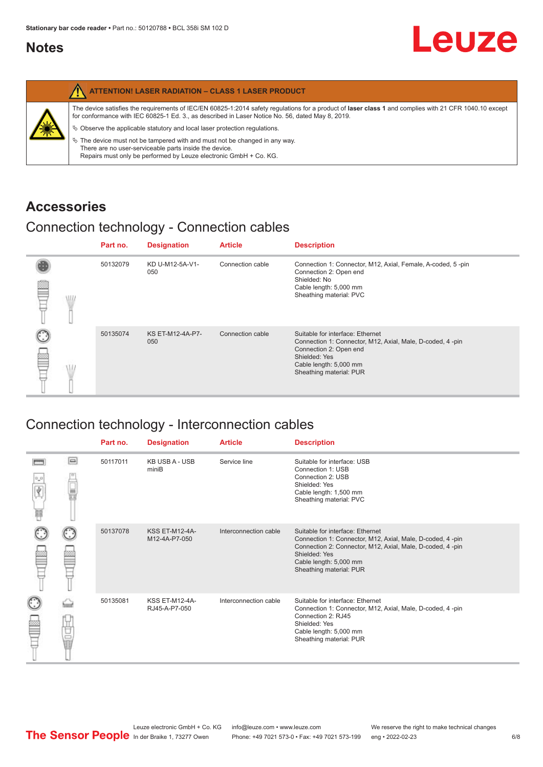#### <span id="page-5-0"></span>**Notes**

|   | <b>ATTENTION! LASER RADIATION - CLASS 1 LASER PRODUCT</b>                                                                                                                                                                                                                                                                                                                                                                                                                                                                                                   |
|---|-------------------------------------------------------------------------------------------------------------------------------------------------------------------------------------------------------------------------------------------------------------------------------------------------------------------------------------------------------------------------------------------------------------------------------------------------------------------------------------------------------------------------------------------------------------|
| 纂 | The device satisfies the requirements of IEC/EN 60825-1:2014 safety regulations for a product of laser class 1 and complies with 21 CFR 1040.10 except<br>for conformance with IEC 60825-1 Ed. 3., as described in Laser Notice No. 56, dated May 8, 2019.<br>$\%$ Observe the applicable statutory and local laser protection regulations.<br>$\%$ The device must not be tampered with and must not be changed in any way.<br>There are no user-serviceable parts inside the device.<br>Repairs must only be performed by Leuze electronic GmbH + Co. KG. |

#### **Accessories**

#### Connection technology - Connection cables

|   |   | Part no. | <b>Designation</b>      | <b>Article</b>   | <b>Description</b>                                                                                                                                                                            |
|---|---|----------|-------------------------|------------------|-----------------------------------------------------------------------------------------------------------------------------------------------------------------------------------------------|
| ≌ | W | 50132079 | KD U-M12-5A-V1-<br>050  | Connection cable | Connection 1: Connector, M12, Axial, Female, A-coded, 5-pin<br>Connection 2: Open end<br>Shielded: No<br>Cable length: 5,000 mm<br>Sheathing material: PVC                                    |
|   |   | 50135074 | KS ET-M12-4A-P7-<br>050 | Connection cable | Suitable for interface: Ethernet<br>Connection 1: Connector, M12, Axial, Male, D-coded, 4-pin<br>Connection 2: Open end<br>Shielded: Yes<br>Cable length: 5,000 mm<br>Sheathing material: PUR |

#### Connection technology - Interconnection cables

|                           |                                                                                                                                                                                                                                | Part no. | <b>Designation</b>                     | <b>Article</b>        | <b>Description</b>                                                                                                                                                                                                               |
|---------------------------|--------------------------------------------------------------------------------------------------------------------------------------------------------------------------------------------------------------------------------|----------|----------------------------------------|-----------------------|----------------------------------------------------------------------------------------------------------------------------------------------------------------------------------------------------------------------------------|
| $\frac{1}{\sqrt{2}}$<br>Ħ | $\Box$                                                                                                                                                                                                                         | 50117011 | <b>KB USB A - USB</b><br>miniB         | Service line          | Suitable for interface: USB<br>Connection 1: USB<br>Connection 2: USB<br>Shielded: Yes<br>Cable length: 1,500 mm<br>Sheathing material: PVC                                                                                      |
|                           |                                                                                                                                                                                                                                | 50137078 | <b>KSS ET-M12-4A-</b><br>M12-4A-P7-050 | Interconnection cable | Suitable for interface: Ethernet<br>Connection 1: Connector, M12, Axial, Male, D-coded, 4-pin<br>Connection 2: Connector, M12, Axial, Male, D-coded, 4-pin<br>Shielded: Yes<br>Cable length: 5,000 mm<br>Sheathing material: PUR |
|                           | the filled the control in the control in the control in the control in the control in the control in the control in the control in the control in the control in the control in the control in the control in the control in t | 50135081 | <b>KSS ET-M12-4A-</b><br>RJ45-A-P7-050 | Interconnection cable | Suitable for interface: Ethernet<br>Connection 1: Connector, M12, Axial, Male, D-coded, 4-pin<br>Connection 2: RJ45<br>Shielded: Yes<br>Cable length: 5,000 mm<br>Sheathing material: PUR                                        |

Leuze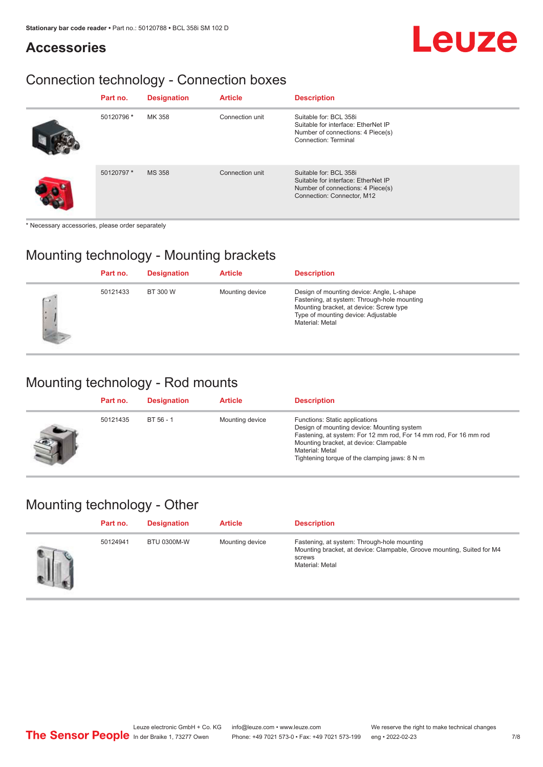## Leuze

## **Accessories**

#### Connection technology - Connection boxes

| Part no.   | <b>Designation</b> | <b>Article</b>  | <b>Description</b>                                                                                                                |
|------------|--------------------|-----------------|-----------------------------------------------------------------------------------------------------------------------------------|
| 50120796 * | MK 358             | Connection unit | Suitable for: BCL 358i<br>Suitable for interface: EtherNet IP<br>Number of connections: 4 Piece(s)<br><b>Connection: Terminal</b> |
| 50120797*  | <b>MS 358</b>      | Connection unit | Suitable for: BCL 358i<br>Suitable for interface: EtherNet IP<br>Number of connections: 4 Piece(s)<br>Connection: Connector, M12  |

\* Necessary accessories, please order separately

#### Mounting technology - Mounting brackets

|     | Part no. | <b>Designation</b> | <b>Article</b>  | <b>Description</b>                                                                                                                                                                            |
|-----|----------|--------------------|-----------------|-----------------------------------------------------------------------------------------------------------------------------------------------------------------------------------------------|
| C.W | 50121433 | BT 300 W           | Mounting device | Design of mounting device: Angle, L-shape<br>Fastening, at system: Through-hole mounting<br>Mounting bracket, at device: Screw type<br>Type of mounting device: Adjustable<br>Material: Metal |

#### Mounting technology - Rod mounts

| Part no. | <b>Designation</b> | <b>Article</b>  | <b>Description</b>                                                                                                                                                                                                                                                |
|----------|--------------------|-----------------|-------------------------------------------------------------------------------------------------------------------------------------------------------------------------------------------------------------------------------------------------------------------|
| 50121435 | BT 56 - 1          | Mounting device | Functions: Static applications<br>Design of mounting device: Mounting system<br>Fastening, at system: For 12 mm rod, For 14 mm rod, For 16 mm rod<br>Mounting bracket, at device: Clampable<br>Material: Metal<br>Tightening torque of the clamping jaws: $8 N·m$ |

#### Mounting technology - Other

| Part no. | <b>Designation</b> | <b>Article</b>  | <b>Description</b>                                                                                                                                 |
|----------|--------------------|-----------------|----------------------------------------------------------------------------------------------------------------------------------------------------|
| 50124941 | <b>BTU 0300M-W</b> | Mounting device | Fastening, at system: Through-hole mounting<br>Mounting bracket, at device: Clampable, Groove mounting, Suited for M4<br>screws<br>Material: Metal |